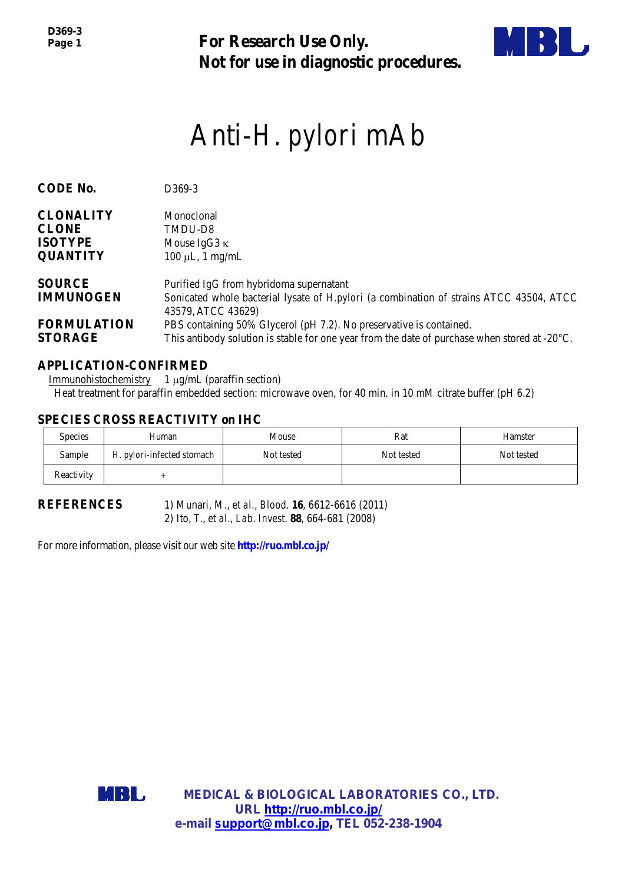*D369-3 Page 1*

**For Research Use Only. Not for use in diagnostic procedures.**



# Anti-*H. pylori* mAb

| <b>CODE No.</b>                      | D369-3                                                                                                                                                                         |
|--------------------------------------|--------------------------------------------------------------------------------------------------------------------------------------------------------------------------------|
| <b>CLONALITY</b>                     | Monoclonal                                                                                                                                                                     |
| <b>CLONE</b>                         | TMDU-D8                                                                                                                                                                        |
| <b>ISOTYPE</b>                       | Mouse IgG3 $\kappa$                                                                                                                                                            |
| <b>QUANTITY</b>                      | $100 \mu L$ , 1 mg/mL                                                                                                                                                          |
| <b>SOURCE</b>                        | Purified IgG from hybridoma supernatant                                                                                                                                        |
| <b>IMMUNOGEN</b>                     | Sonicated whole bacterial lysate of <i>H.pylori</i> (a combination of strains ATCC 43504, ATCC<br>43579, ATCC 43629)                                                           |
| <b>FORMULATION</b><br><b>STORAGE</b> | PBS containing 50% Glycerol (pH 7.2). No preservative is contained.<br>This antibody solution is stable for one year from the date of purchase when stored at $-20^{\circ}$ C. |

# **APPLICATION-CONFIRMED**

Immunohistochemistry 1 µg/mL (paraffin section) Heat treatment for paraffin embedded section: microwave oven, for 40 min. in 10 mM citrate buffer (pH 6.2)

# **SPECIES CROSS REACTIVITY on IHC**

| <b>Species</b> | Human                      | Mouse      | Rat        | Hamster    |
|----------------|----------------------------|------------|------------|------------|
| Sample         | H. pylori-infected stomach | Not tested | Not tested | Not tested |
| Reactivity     |                            |            |            |            |

**REFERENCES** 1) Munari, M., *et al.*, *Blood.* **16**, 6612-6616 (2011) 2) Ito, T., *et al*., *Lab. Invest*. **88**, 664-681 (2008)

For more information, please visit our web site **http://ruo.mbl.co.jp/**

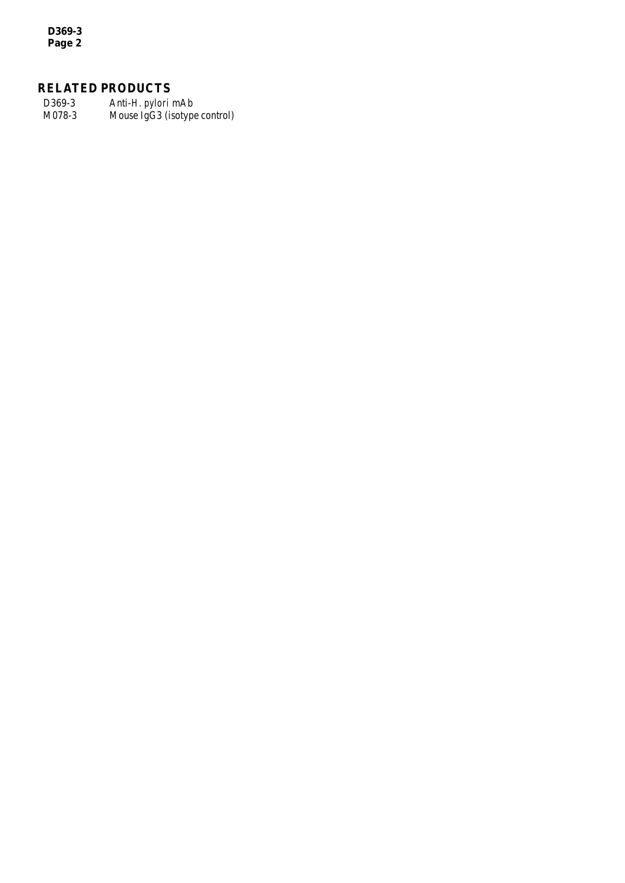*D369-3 Page 2*

# **RELATED PRODUCTS**

D369-3 Anti-*H. pylori* mAb Mouse IgG3 (isotype control)